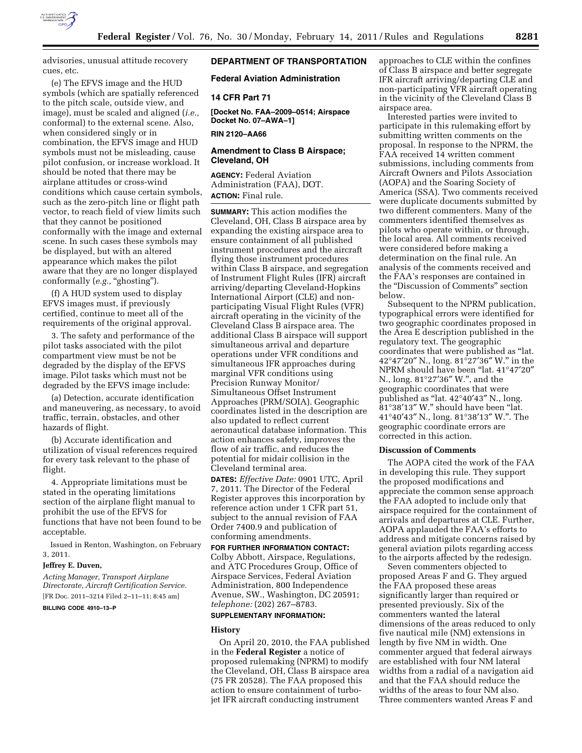

advisories, unusual attitude recovery cues, etc.

(e) The EFVS image and the HUD symbols (which are spatially referenced to the pitch scale, outside view, and image), must be scaled and aligned (*i.e.,*  conformal) to the external scene. Also, when considered singly or in combination, the EFVS image and HUD symbols must not be misleading, cause pilot confusion, or increase workload. It should be noted that there may be airplane attitudes or cross-wind conditions which cause certain symbols, such as the zero-pitch line or flight path vector, to reach field of view limits such that they cannot be positioned conformally with the image and external scene. In such cases these symbols may be displayed, but with an altered appearance which makes the pilot aware that they are no longer displayed conformally (e.g., "ghosting").

(f) A HUD system used to display EFVS images must, if previously certified, continue to meet all of the requirements of the original approval.

3. The safety and performance of the pilot tasks associated with the pilot compartment view must be not be degraded by the display of the EFVS image. Pilot tasks which must not be degraded by the EFVS image include:

(a) Detection, accurate identification and maneuvering, as necessary, to avoid traffic, terrain, obstacles, and other hazards of flight.

(b) Accurate identification and utilization of visual references required for every task relevant to the phase of flight.

4. Appropriate limitations must be stated in the operating limitations section of the airplane flight manual to prohibit the use of the EFVS for functions that have not been found to be acceptable.

Issued in Renton, Washington, on February 3, 2011.

#### **Jeffrey E. Duven,**

*Acting Manager, Transport Airplane Directorate, Aircraft Certification Service.*  [FR Doc. 2011–3214 Filed 2–11–11; 8:45 am] **BILLING CODE 4910–13–P** 

## **DEPARTMENT OF TRANSPORTATION**

### **Federal Aviation Administration**

## **14 CFR Part 71**

**[Docket No. FAA–2009–0514; Airspace Docket No. 07–AWA–1]** 

**RIN 2120–AA66** 

### **Amendment to Class B Airspace; Cleveland, OH**

**AGENCY:** Federal Aviation Administration (FAA), DOT. **ACTION:** Final rule.

**SUMMARY:** This action modifies the Cleveland, OH, Class B airspace area by expanding the existing airspace area to ensure containment of all published instrument procedures and the aircraft flying those instrument procedures within Class B airspace, and segregation of Instrument Flight Rules (IFR) aircraft arriving/departing Cleveland-Hopkins International Airport (CLE) and nonparticipating Visual Flight Rules (VFR) aircraft operating in the vicinity of the Cleveland Class B airspace area. The additional Class B airspace will support simultaneous arrival and departure operations under VFR conditions and simultaneous IFR approaches during marginal VFR conditions using Precision Runway Monitor/ Simultaneous Offset Instrument Approaches (PRM/SOIA). Geographic coordinates listed in the description are also updated to reflect current aeronautical database information. This action enhances safety, improves the flow of air traffic, and reduces the potential for midair collision in the Cleveland terminal area.

**DATES:** *Effective Date:* 0901 UTC, April 7, 2011. The Director of the Federal Register approves this incorporation by reference action under 1 CFR part 51, subject to the annual revision of FAA Order 7400.9 and publication of conforming amendments.

**FOR FURTHER INFORMATION CONTACT:**  Colby Abbott, Airspace, Regulations, and ATC Procedures Group, Office of Airspace Services, Federal Aviation Administration, 800 Independence Avenue, SW., Washington, DC 20591; *telephone:* (202) 267–8783.

# **SUPPLEMENTARY INFORMATION:**

#### **History**

On April 20, 2010, the FAA published in the **Federal Register** a notice of proposed rulemaking (NPRM) to modify the Cleveland, OH, Class B airspace area (75 FR 20528). The FAA proposed this action to ensure containment of turbojet IFR aircraft conducting instrument

approaches to CLE within the confines of Class B airspace and better segregate IFR aircraft arriving/departing CLE and non-participating VFR aircraft operating in the vicinity of the Cleveland Class B airspace area.

Interested parties were invited to participate in this rulemaking effort by submitting written comments on the proposal. In response to the NPRM, the FAA received 14 written comment submissions, including comments from Aircraft Owners and Pilots Association (AOPA) and the Soaring Society of America (SSA). Two comments received were duplicate documents submitted by two different commenters. Many of the commenters identified themselves as pilots who operate within, or through, the local area. All comments received were considered before making a determination on the final rule. An analysis of the comments received and the FAA's responses are contained in the ''Discussion of Comments'' section below.

Subsequent to the NPRM publication, typographical errors were identified for two geographic coordinates proposed in the Area E description published in the regulatory text. The geographic coordinates that were published as ''lat. 42°47′20″ N., long. 81°27′36″ W.'' in the NPRM should have been ''lat. 41°47′20″ N., long. 81°27′36″ W.'', and the geographic coordinates that were published as ''lat. 42°40′43″ N., long. 81°38′13″ W.'' should have been ''lat. 41°40′43″ N., long. 81°38′13″ W.''. The geographic coordinate errors are corrected in this action.

## **Discussion of Comments**

The AOPA cited the work of the FAA in developing this rule. They support the proposed modifications and appreciate the common sense approach the FAA adopted to include only that airspace required for the containment of arrivals and departures at CLE. Further, AOPA applauded the FAA's efforts to address and mitigate concerns raised by general aviation pilots regarding access to the airports affected by the redesign.

Seven commenters objected to proposed Areas F and G. They argued the FAA proposed these areas significantly larger than required or presented previously. Six of the commenters wanted the lateral dimensions of the areas reduced to only five nautical mile (NM) extensions in length by five NM in width. One commenter argued that federal airways are established with four NM lateral widths from a radial of a navigation aid and that the FAA should reduce the widths of the areas to four NM also. Three commenters wanted Areas F and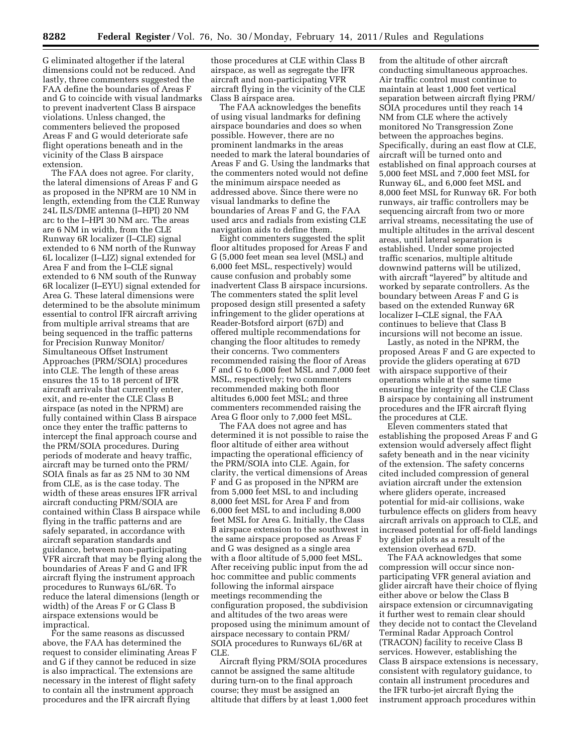G eliminated altogether if the lateral dimensions could not be reduced. And lastly, three commenters suggested the FAA define the boundaries of Areas F and G to coincide with visual landmarks to prevent inadvertent Class B airspace violations. Unless changed, the commenters believed the proposed Areas F and G would deteriorate safe flight operations beneath and in the vicinity of the Class B airspace extension.

The FAA does not agree. For clarity, the lateral dimensions of Areas F and G as proposed in the NPRM are 10 NM in length, extending from the CLE Runway 24L ILS/DME antenna (I–HPI) 20 NM arc to the I–HPI 30 NM arc. The areas are 6 NM in width, from the CLE Runway 6R localizer (I–CLE) signal extended to 6 NM north of the Runway 6L localizer (I–LIZ) signal extended for Area F and from the I–CLE signal extended to 6 NM south of the Runway 6R localizer (I–EYU) signal extended for Area G. These lateral dimensions were determined to be the absolute minimum essential to control IFR aircraft arriving from multiple arrival streams that are being sequenced in the traffic patterns for Precision Runway Monitor/ Simultaneous Offset Instrument Approaches (PRM/SOIA) procedures into CLE. The length of these areas ensures the 15 to 18 percent of IFR aircraft arrivals that currently enter, exit, and re-enter the CLE Class B airspace (as noted in the NPRM) are fully contained within Class B airspace once they enter the traffic patterns to intercept the final approach course and the PRM/SOIA procedures. During periods of moderate and heavy traffic, aircraft may be turned onto the PRM/ SOIA finals as far as 25 NM to 30 NM from CLE, as is the case today. The width of these areas ensures IFR arrival aircraft conducting PRM/SOIA are contained within Class B airspace while flying in the traffic patterns and are safely separated, in accordance with aircraft separation standards and guidance, between non-participating VFR aircraft that may be flying along the boundaries of Areas F and G and IFR aircraft flying the instrument approach procedures to Runways 6L/6R. To reduce the lateral dimensions (length or width) of the Areas F or G Class B airspace extensions would be impractical.

For the same reasons as discussed above, the FAA has determined the request to consider eliminating Areas F and G if they cannot be reduced in size is also impractical. The extensions are necessary in the interest of flight safety to contain all the instrument approach procedures and the IFR aircraft flying

those procedures at CLE within Class B airspace, as well as segregate the IFR aircraft and non-participating VFR aircraft flying in the vicinity of the CLE Class B airspace area.

The FAA acknowledges the benefits of using visual landmarks for defining airspace boundaries and does so when possible. However, there are no prominent landmarks in the areas needed to mark the lateral boundaries of Areas F and G. Using the landmarks that the commenters noted would not define the minimum airspace needed as addressed above. Since there were no visual landmarks to define the boundaries of Areas F and G, the FAA used arcs and radials from existing CLE navigation aids to define them.

Eight commenters suggested the split floor altitudes proposed for Areas F and G (5,000 feet mean sea level (MSL) and 6,000 feet MSL, respectively) would cause confusion and probably some inadvertent Class B airspace incursions. The commenters stated the split level proposed design still presented a safety infringement to the glider operations at Reader-Botsford airport (67D) and offered multiple recommendations for changing the floor altitudes to remedy their concerns. Two commenters recommended raising the floor of Areas F and G to 6,000 feet MSL and 7,000 feet MSL, respectively; two commenters recommended making both floor altitudes 6,000 feet MSL; and three commenters recommended raising the Area G floor only to 7,000 feet MSL.

The FAA does not agree and has determined it is not possible to raise the floor altitude of either area without impacting the operational efficiency of the PRM/SOIA into CLE. Again, for clarity, the vertical dimensions of Areas F and G as proposed in the NPRM are from 5,000 feet MSL to and including 8,000 feet MSL for Area F and from 6,000 feet MSL to and including 8,000 feet MSL for Area G. Initially, the Class B airspace extension to the southwest in the same airspace proposed as Areas F and G was designed as a single area with a floor altitude of 5,000 feet MSL. After receiving public input from the ad hoc committee and public comments following the informal airspace meetings recommending the configuration proposed, the subdivision and altitudes of the two areas were proposed using the minimum amount of airspace necessary to contain PRM/ SOIA procedures to Runways 6L/6R at CLE.

Aircraft flying PRM/SOIA procedures cannot be assigned the same altitude during turn-on to the final approach course; they must be assigned an altitude that differs by at least 1,000 feet

from the altitude of other aircraft conducting simultaneous approaches. Air traffic control must continue to maintain at least 1,000 feet vertical separation between aircraft flying PRM/ SOIA procedures until they reach 14 NM from CLE where the actively monitored No Transgression Zone between the approaches begins. Specifically, during an east flow at CLE, aircraft will be turned onto and established on final approach courses at 5,000 feet MSL and 7,000 feet MSL for Runway 6L, and 6,000 feet MSL and 8,000 feet MSL for Runway 6R. For both runways, air traffic controllers may be sequencing aircraft from two or more arrival streams, necessitating the use of multiple altitudes in the arrival descent areas, until lateral separation is established. Under some projected traffic scenarios, multiple altitude downwind patterns will be utilized, with aircraft "layered" by altitude and worked by separate controllers. As the boundary between Areas F and G is based on the extended Runway 6R localizer I–CLE signal, the FAA continues to believe that Class B incursions will not become an issue.

Lastly, as noted in the NPRM, the proposed Areas F and G are expected to provide the gliders operating at 67D with airspace supportive of their operations while at the same time ensuring the integrity of the CLE Class B airspace by containing all instrument procedures and the IFR aircraft flying the procedures at CLE.

Eleven commenters stated that establishing the proposed Areas F and G extension would adversely affect flight safety beneath and in the near vicinity of the extension. The safety concerns cited included compression of general aviation aircraft under the extension where gliders operate, increased potential for mid-air collisions, wake turbulence effects on gliders from heavy aircraft arrivals on approach to CLE, and increased potential for off-field landings by glider pilots as a result of the extension overhead 67D.

The FAA acknowledges that some compression will occur since nonparticipating VFR general aviation and glider aircraft have their choice of flying either above or below the Class B airspace extension or circumnavigating it further west to remain clear should they decide not to contact the Cleveland Terminal Radar Approach Control (TRACON) facility to receive Class B services. However, establishing the Class B airspace extensions is necessary, consistent with regulatory guidance, to contain all instrument procedures and the IFR turbo-jet aircraft flying the instrument approach procedures within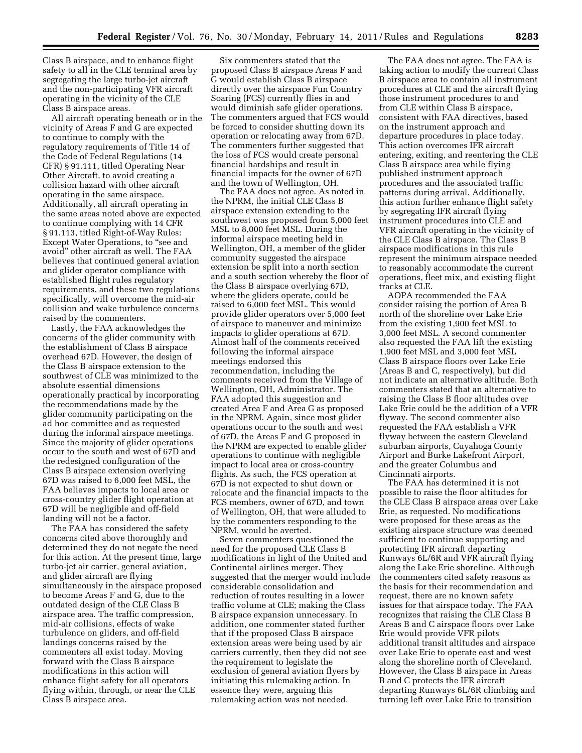Class B airspace, and to enhance flight safety to all in the CLE terminal area by segregating the large turbo-jet aircraft and the non-participating VFR aircraft operating in the vicinity of the CLE Class B airspace areas.

All aircraft operating beneath or in the vicinity of Areas F and G are expected to continue to comply with the regulatory requirements of Title 14 of the Code of Federal Regulations (14 CFR) § 91.111, titled Operating Near Other Aircraft, to avoid creating a collision hazard with other aircraft operating in the same airspace. Additionally, all aircraft operating in the same areas noted above are expected to continue complying with 14 CFR § 91.113, titled Right-of-Way Rules: Except Water Operations, to ''see and avoid'' other aircraft as well. The FAA believes that continued general aviation and glider operator compliance with established flight rules regulatory requirements, and these two regulations specifically, will overcome the mid-air collision and wake turbulence concerns raised by the commenters.

Lastly, the FAA acknowledges the concerns of the glider community with the establishment of Class B airspace overhead 67D. However, the design of the Class B airspace extension to the southwest of CLE was minimized to the absolute essential dimensions operationally practical by incorporating the recommendations made by the glider community participating on the ad hoc committee and as requested during the informal airspace meetings. Since the majority of glider operations occur to the south and west of 67D and the redesigned configuration of the Class B airspace extension overlying 67D was raised to 6,000 feet MSL, the FAA believes impacts to local area or cross-country glider flight operation at 67D will be negligible and off-field landing will not be a factor.

The FAA has considered the safety concerns cited above thoroughly and determined they do not negate the need for this action. At the present time, large turbo-jet air carrier, general aviation, and glider aircraft are flying simultaneously in the airspace proposed to become Areas F and G, due to the outdated design of the CLE Class B airspace area. The traffic compression, mid-air collisions, effects of wake turbulence on gliders, and off-field landings concerns raised by the commenters all exist today. Moving forward with the Class B airspace modifications in this action will enhance flight safety for all operators flying within, through, or near the CLE Class B airspace area.

Six commenters stated that the proposed Class B airspace Areas F and G would establish Class B airspace directly over the airspace Fun Country Soaring (FCS) currently flies in and would diminish safe glider operations. The commenters argued that FCS would be forced to consider shutting down its operation or relocating away from 67D. The commenters further suggested that the loss of FCS would create personal financial hardships and result in financial impacts for the owner of 67D and the town of Wellington, OH.

The FAA does not agree. As noted in the NPRM, the initial CLE Class B airspace extension extending to the southwest was proposed from 5,000 feet MSL to 8,000 feet MSL. During the informal airspace meeting held in Wellington, OH, a member of the glider community suggested the airspace extension be split into a north section and a south section whereby the floor of the Class B airspace overlying 67D, where the gliders operate, could be raised to 6,000 feet MSL. This would provide glider operators over 5,000 feet of airspace to maneuver and minimize impacts to glider operations at 67D. Almost half of the comments received following the informal airspace meetings endorsed this recommendation, including the comments received from the Village of Wellington, OH, Administrator. The FAA adopted this suggestion and created Area F and Area G as proposed in the NPRM. Again, since most glider operations occur to the south and west of 67D, the Areas F and G proposed in the NPRM are expected to enable glider operations to continue with negligible impact to local area or cross-country flights. As such, the FCS operation at 67D is not expected to shut down or relocate and the financial impacts to the FCS members, owner of 67D, and town of Wellington, OH, that were alluded to by the commenters responding to the NPRM, would be averted.

Seven commenters questioned the need for the proposed CLE Class B modifications in light of the United and Continental airlines merger. They suggested that the merger would include considerable consolidation and reduction of routes resulting in a lower traffic volume at CLE; making the Class B airspace expansion unnecessary. In addition, one commenter stated further that if the proposed Class B airspace extension areas were being used by air carriers currently, then they did not see the requirement to legislate the exclusion of general aviation flyers by initiating this rulemaking action. In essence they were, arguing this rulemaking action was not needed.

The FAA does not agree. The FAA is taking action to modify the current Class B airspace area to contain all instrument procedures at CLE and the aircraft flying those instrument procedures to and from CLE within Class B airspace, consistent with FAA directives, based on the instrument approach and departure procedures in place today. This action overcomes IFR aircraft entering, exiting, and reentering the CLE Class B airspace area while flying published instrument approach procedures and the associated traffic patterns during arrival. Additionally, this action further enhance flight safety by segregating IFR aircraft flying instrument procedures into CLE and VFR aircraft operating in the vicinity of the CLE Class B airspace. The Class B airspace modifications in this rule represent the minimum airspace needed to reasonably accommodate the current operations, fleet mix, and existing flight tracks at CLE.

AOPA recommended the FAA consider raising the portion of Area B north of the shoreline over Lake Erie from the existing 1,900 feet MSL to 3,000 feet MSL. A second commenter also requested the FAA lift the existing 1,900 feet MSL and 3,000 feet MSL Class B airspace floors over Lake Erie (Areas B and C, respectively), but did not indicate an alternative altitude. Both commenters stated that an alternative to raising the Class B floor altitudes over Lake Erie could be the addition of a VFR flyway. The second commenter also requested the FAA establish a VFR flyway between the eastern Cleveland suburban airports, Cuyahoga County Airport and Burke Lakefront Airport, and the greater Columbus and Cincinnati airports.

The FAA has determined it is not possible to raise the floor altitudes for the CLE Class B airspace areas over Lake Erie, as requested. No modifications were proposed for these areas as the existing airspace structure was deemed sufficient to continue supporting and protecting IFR aircraft departing Runways 6L/6R and VFR aircraft flying along the Lake Erie shoreline. Although the commenters cited safety reasons as the basis for their recommendation and request, there are no known safety issues for that airspace today. The FAA recognizes that raising the CLE Class B Areas B and C airspace floors over Lake Erie would provide VFR pilots additional transit altitudes and airspace over Lake Erie to operate east and west along the shoreline north of Cleveland. However, the Class B airspace in Areas B and C protects the IFR aircraft departing Runways 6L/6R climbing and turning left over Lake Erie to transition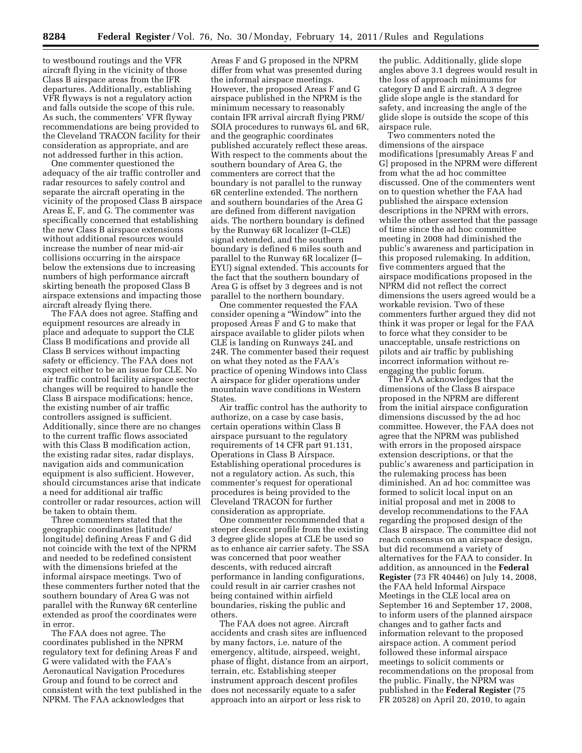to westbound routings and the VFR aircraft flying in the vicinity of those Class B airspace areas from the IFR departures. Additionally, establishing VFR flyways is not a regulatory action and falls outside the scope of this rule. As such, the commenters' VFR flyway recommendations are being provided to the Cleveland TRACON facility for their consideration as appropriate, and are not addressed further in this action.

One commenter questioned the adequacy of the air traffic controller and radar resources to safely control and separate the aircraft operating in the vicinity of the proposed Class B airspace Areas E, F, and G. The commenter was specifically concerned that establishing the new Class B airspace extensions without additional resources would increase the number of near mid-air collisions occurring in the airspace below the extensions due to increasing numbers of high performance aircraft skirting beneath the proposed Class B airspace extensions and impacting those aircraft already flying there.

The FAA does not agree. Staffing and equipment resources are already in place and adequate to support the CLE Class B modifications and provide all Class B services without impacting safety or efficiency. The FAA does not expect either to be an issue for CLE. No air traffic control facility airspace sector changes will be required to handle the Class B airspace modifications; hence, the existing number of air traffic controllers assigned is sufficient. Additionally, since there are no changes to the current traffic flows associated with this Class B modification action, the existing radar sites, radar displays, navigation aids and communication equipment is also sufficient. However, should circumstances arise that indicate a need for additional air traffic controller or radar resources, action will be taken to obtain them.

Three commenters stated that the geographic coordinates [latitude/ longitude] defining Areas F and G did not coincide with the text of the NPRM and needed to be redefined consistent with the dimensions briefed at the informal airspace meetings. Two of these commenters further noted that the southern boundary of Area G was not parallel with the Runway 6R centerline extended as proof the coordinates were in error.

The FAA does not agree. The coordinates published in the NPRM regulatory text for defining Areas F and G were validated with the FAA's Aeronautical Navigation Procedures Group and found to be correct and consistent with the text published in the NPRM. The FAA acknowledges that

Areas F and G proposed in the NPRM differ from what was presented during the informal airspace meetings. However, the proposed Areas F and G airspace published in the NPRM is the minimum necessary to reasonably contain IFR arrival aircraft flying PRM/ SOIA procedures to runways 6L and 6R, and the geographic coordinates published accurately reflect these areas. With respect to the comments about the southern boundary of Area G, the commenters are correct that the boundary is not parallel to the runway 6R centerline extended. The northern and southern boundaries of the Area G are defined from different navigation aids. The northern boundary is defined by the Runway 6R localizer (I–CLE) signal extended, and the southern boundary is defined 6 miles south and parallel to the Runway 6R localizer (I– EYU) signal extended. This accounts for the fact that the southern boundary of Area G is offset by 3 degrees and is not parallel to the northern boundary.

One commenter requested the FAA consider opening a ''Window'' into the proposed Areas F and G to make that airspace available to glider pilots when CLE is landing on Runways 24L and 24R. The commenter based their request on what they noted as the FAA's practice of opening Windows into Class A airspace for glider operations under mountain wave conditions in Western States.

Air traffic control has the authority to authorize, on a case by case basis, certain operations within Class B airspace pursuant to the regulatory requirements of 14 CFR part 91.131, Operations in Class B Airspace. Establishing operational procedures is not a regulatory action. As such, this commenter's request for operational procedures is being provided to the Cleveland TRACON for further consideration as appropriate.

One commenter recommended that a steeper descent profile from the existing 3 degree glide slopes at CLE be used so as to enhance air carrier safety. The SSA was concerned that poor weather descents, with reduced aircraft performance in landing configurations, could result in air carrier crashes not being contained within airfield boundaries, risking the public and others.

The FAA does not agree. Aircraft accidents and crash sites are influenced by many factors, i.e. nature of the emergency, altitude, airspeed, weight, phase of flight, distance from an airport, terrain, etc. Establishing steeper instrument approach descent profiles does not necessarily equate to a safer approach into an airport or less risk to

the public. Additionally, glide slope angles above 3.1 degrees would result in the loss of approach minimums for category D and E aircraft. A 3 degree glide slope angle is the standard for safety, and increasing the angle of the glide slope is outside the scope of this airspace rule.

Two commenters noted the dimensions of the airspace modifications [presumably Areas F and G] proposed in the NPRM were different from what the ad hoc committee discussed. One of the commenters went on to question whether the FAA had published the airspace extension descriptions in the NPRM with errors, while the other asserted that the passage of time since the ad hoc committee meeting in 2008 had diminished the public's awareness and participation in this proposed rulemaking. In addition, five commenters argued that the airspace modifications proposed in the NPRM did not reflect the correct dimensions the users agreed would be a workable revision. Two of these commenters further argued they did not think it was proper or legal for the FAA to force what they consider to be unacceptable, unsafe restrictions on pilots and air traffic by publishing incorrect information without reengaging the public forum.

The FAA acknowledges that the dimensions of the Class B airspace proposed in the NPRM are different from the initial airspace configuration dimensions discussed by the ad hoc committee. However, the FAA does not agree that the NPRM was published with errors in the proposed airspace extension descriptions, or that the public's awareness and participation in the rulemaking process has been diminished. An ad hoc committee was formed to solicit local input on an initial proposal and met in 2008 to develop recommendations to the FAA regarding the proposed design of the Class B airspace. The committee did not reach consensus on an airspace design, but did recommend a variety of alternatives for the FAA to consider. In addition, as announced in the **Federal Register** (73 FR 40446) on July 14, 2008, the FAA held Informal Airspace Meetings in the CLE local area on September 16 and September 17, 2008, to inform users of the planned airspace changes and to gather facts and information relevant to the proposed airspace action. A comment period followed these informal airspace meetings to solicit comments or recommendations on the proposal from the public. Finally, the NPRM was published in the **Federal Register** (75 FR 20528) on April 20, 2010, to again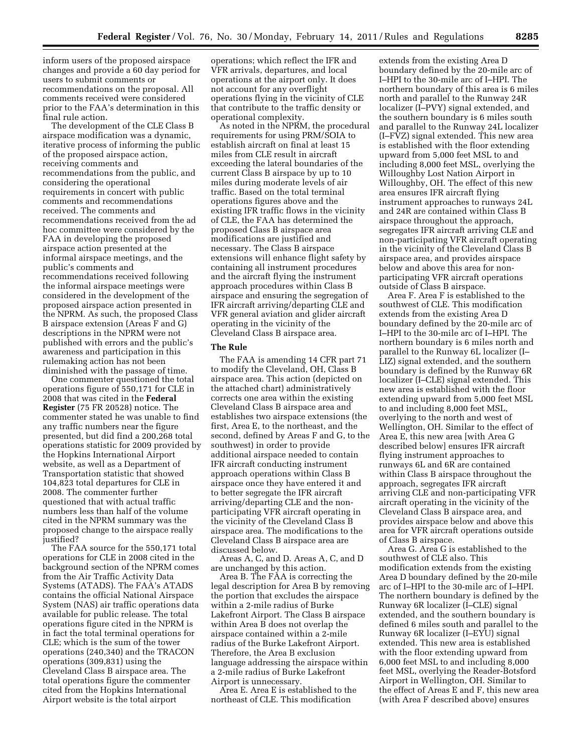inform users of the proposed airspace changes and provide a 60 day period for users to submit comments or recommendations on the proposal. All comments received were considered prior to the FAA's determination in this final rule action.

The development of the CLE Class B airspace modification was a dynamic, iterative process of informing the public of the proposed airspace action, receiving comments and recommendations from the public, and considering the operational requirements in concert with public comments and recommendations received. The comments and recommendations received from the ad hoc committee were considered by the FAA in developing the proposed airspace action presented at the informal airspace meetings, and the public's comments and recommendations received following the informal airspace meetings were considered in the development of the proposed airspace action presented in the NPRM. As such, the proposed Class B airspace extension (Areas F and G) descriptions in the NPRM were not published with errors and the public's awareness and participation in this rulemaking action has not been diminished with the passage of time.

One commenter questioned the total operations figure of 550,171 for CLE in 2008 that was cited in the **Federal Register** (75 FR 20528) notice. The commenter stated he was unable to find any traffic numbers near the figure presented, but did find a 200,268 total operations statistic for 2009 provided by the Hopkins International Airport website, as well as a Department of Transportation statistic that showed 104,823 total departures for CLE in 2008. The commenter further questioned that with actual traffic numbers less than half of the volume cited in the NPRM summary was the proposed change to the airspace really justified?

The FAA source for the 550,171 total operations for CLE in 2008 cited in the background section of the NPRM comes from the Air Traffic Activity Data Systems (ATADS). The FAA's ATADS contains the official National Airspace System (NAS) air traffic operations data available for public release. The total operations figure cited in the NPRM is in fact the total terminal operations for CLE; which is the sum of the tower operations (240,340) and the TRACON operations (309,831) using the Cleveland Class B airspace area. The total operations figure the commenter cited from the Hopkins International Airport website is the total airport

operations; which reflect the IFR and VFR arrivals, departures, and local operations at the airport only. It does not account for any overflight operations flying in the vicinity of CLE that contribute to the traffic density or operational complexity.

As noted in the NPRM, the procedural requirements for using PRM/SOIA to establish aircraft on final at least 15 miles from CLE result in aircraft exceeding the lateral boundaries of the current Class B airspace by up to 10 miles during moderate levels of air traffic. Based on the total terminal operations figures above and the existing IFR traffic flows in the vicinity of CLE, the FAA has determined the proposed Class B airspace area modifications are justified and necessary. The Class B airspace extensions will enhance flight safety by containing all instrument procedures and the aircraft flying the instrument approach procedures within Class B airspace and ensuring the segregation of IFR aircraft arriving/departing CLE and VFR general aviation and glider aircraft operating in the vicinity of the Cleveland Class B airspace area.

### **The Rule**

The FAA is amending 14 CFR part 71 to modify the Cleveland, OH, Class B airspace area. This action (depicted on the attached chart) administratively corrects one area within the existing Cleveland Class B airspace area and establishes two airspace extensions (the first, Area E, to the northeast, and the second, defined by Areas F and G, to the southwest) in order to provide additional airspace needed to contain IFR aircraft conducting instrument approach operations within Class B airspace once they have entered it and to better segregate the IFR aircraft arriving/departing CLE and the nonparticipating VFR aircraft operating in the vicinity of the Cleveland Class B airspace area. The modifications to the Cleveland Class B airspace area are discussed below.

Areas A, C, and D. Areas A, C, and D are unchanged by this action.

Area B. The FAA is correcting the legal description for Area B by removing the portion that excludes the airspace within a 2-mile radius of Burke Lakefront Airport. The Class B airspace within Area B does not overlap the airspace contained within a 2-mile radius of the Burke Lakefront Airport. Therefore, the Area B exclusion language addressing the airspace within a 2-mile radius of Burke Lakefront Airport is unnecessary.

Area E. Area E is established to the northeast of CLE. This modification

extends from the existing Area D boundary defined by the 20-mile arc of I–HPI to the 30-mile arc of I–HPI. The northern boundary of this area is 6 miles north and parallel to the Runway 24R localizer (I–PVY) signal extended, and the southern boundary is 6 miles south and parallel to the Runway 24L localizer (I–FVZ) signal extended. This new area is established with the floor extending upward from 5,000 feet MSL to and including 8,000 feet MSL, overlying the Willoughby Lost Nation Airport in Willoughby, OH. The effect of this new area ensures IFR aircraft flying instrument approaches to runways 24L and 24R are contained within Class B airspace throughout the approach, segregates IFR aircraft arriving CLE and non-participating VFR aircraft operating in the vicinity of the Cleveland Class B airspace area, and provides airspace below and above this area for nonparticipating VFR aircraft operations outside of Class B airspace.

Area F. Area F is established to the southwest of CLE. This modification extends from the existing Area D boundary defined by the 20-mile arc of I–HPI to the 30-mile arc of I–HPI. The northern boundary is 6 miles north and parallel to the Runway 6L localizer (I– LIZ) signal extended, and the southern boundary is defined by the Runway 6R localizer (I–CLE) signal extended. This new area is established with the floor extending upward from 5,000 feet MSL to and including 8,000 feet MSL, overlying to the north and west of Wellington, OH. Similar to the effect of Area E, this new area [with Area G described below] ensures IFR aircraft flying instrument approaches to runways 6L and 6R are contained within Class B airspace throughout the approach, segregates IFR aircraft arriving CLE and non-participating VFR aircraft operating in the vicinity of the Cleveland Class B airspace area, and provides airspace below and above this area for VFR aircraft operations outside of Class B airspace.

Area G. Area G is established to the southwest of CLE also. This modification extends from the existing Area D boundary defined by the 20-mile arc of I–HPI to the 30-mile arc of I–HPI. The northern boundary is defined by the Runway 6R localizer (I–CLE) signal extended, and the southern boundary is defined 6 miles south and parallel to the Runway 6R localizer (I–EYU) signal extended. This new area is established with the floor extending upward from 6,000 feet MSL to and including 8,000 feet MSL, overlying the Reader-Botsford Airport in Wellington, OH. Similar to the effect of Areas E and F, this new area (with Area F described above) ensures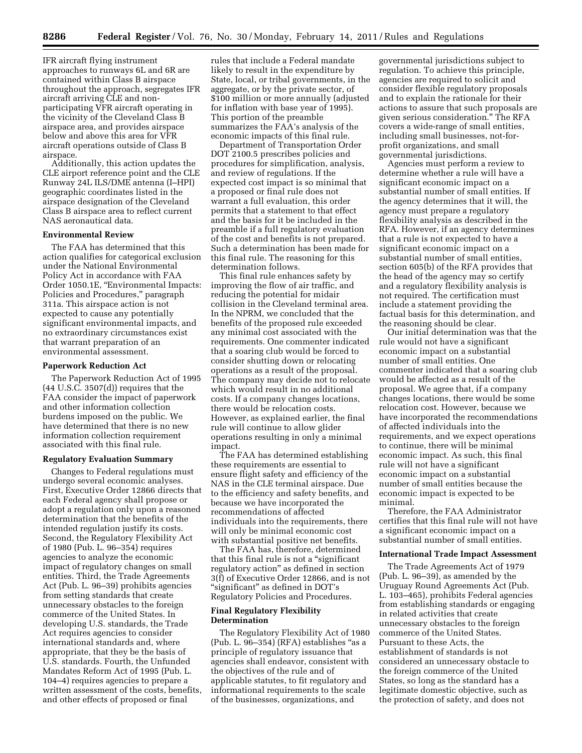IFR aircraft flying instrument approaches to runways 6L and 6R are contained within Class B airspace throughout the approach, segregates IFR aircraft arriving CLE and nonparticipating VFR aircraft operating in the vicinity of the Cleveland Class B airspace area, and provides airspace below and above this area for VFR aircraft operations outside of Class B airspace.

Additionally, this action updates the CLE airport reference point and the CLE Runway 24L ILS/DME antenna (I–HPI) geographic coordinates listed in the airspace designation of the Cleveland Class B airspace area to reflect current NAS aeronautical data.

## **Environmental Review**

The FAA has determined that this action qualifies for categorical exclusion under the National Environmental Policy Act in accordance with FAA Order 1050.1E, ''Environmental Impacts: Policies and Procedures," paragraph 311a. This airspace action is not expected to cause any potentially significant environmental impacts, and no extraordinary circumstances exist that warrant preparation of an environmental assessment.

#### **Paperwork Reduction Act**

The Paperwork Reduction Act of 1995 (44 U.S.C. 3507(d)) requires that the FAA consider the impact of paperwork and other information collection burdens imposed on the public. We have determined that there is no new information collection requirement associated with this final rule.

### **Regulatory Evaluation Summary**

Changes to Federal regulations must undergo several economic analyses. First, Executive Order 12866 directs that each Federal agency shall propose or adopt a regulation only upon a reasoned determination that the benefits of the intended regulation justify its costs. Second, the Regulatory Flexibility Act of 1980 (Pub. L. 96–354) requires agencies to analyze the economic impact of regulatory changes on small entities. Third, the Trade Agreements Act (Pub. L. 96–39) prohibits agencies from setting standards that create unnecessary obstacles to the foreign commerce of the United States. In developing U.S. standards, the Trade Act requires agencies to consider international standards and, where appropriate, that they be the basis of U.S. standards. Fourth, the Unfunded Mandates Reform Act of 1995 (Pub. L. 104–4) requires agencies to prepare a written assessment of the costs, benefits, and other effects of proposed or final

rules that include a Federal mandate likely to result in the expenditure by State, local, or tribal governments, in the aggregate, or by the private sector, of \$100 million or more annually (adjusted for inflation with base year of 1995). This portion of the preamble summarizes the FAA's analysis of the economic impacts of this final rule.

Department of Transportation Order DOT 2100.5 prescribes policies and procedures for simplification, analysis, and review of regulations. If the expected cost impact is so minimal that a proposed or final rule does not warrant a full evaluation, this order permits that a statement to that effect and the basis for it be included in the preamble if a full regulatory evaluation of the cost and benefits is not prepared. Such a determination has been made for this final rule. The reasoning for this determination follows.

This final rule enhances safety by improving the flow of air traffic, and reducing the potential for midair collision in the Cleveland terminal area. In the NPRM, we concluded that the benefits of the proposed rule exceeded any minimal cost associated with the requirements. One commenter indicated that a soaring club would be forced to consider shutting down or relocating operations as a result of the proposal. The company may decide not to relocate which would result in no additional costs. If a company changes locations, there would be relocation costs. However, as explained earlier, the final rule will continue to allow glider operations resulting in only a minimal impact.

The FAA has determined establishing these requirements are essential to ensure flight safety and efficiency of the NAS in the CLE terminal airspace. Due to the efficiency and safety benefits, and because we have incorporated the recommendations of affected individuals into the requirements, there will only be minimal economic cost with substantial positive net benefits.

The FAA has, therefore, determined that this final rule is not a "significant regulatory action'' as defined in section 3(f) of Executive Order 12866, and is not ''significant'' as defined in DOT's Regulatory Policies and Procedures.

### **Final Regulatory Flexibility Determination**

The Regulatory Flexibility Act of 1980  $(Pub. L. 96-354) (RFA)$  establishes "as a principle of regulatory issuance that agencies shall endeavor, consistent with the objectives of the rule and of applicable statutes, to fit regulatory and informational requirements to the scale of the businesses, organizations, and

governmental jurisdictions subject to regulation. To achieve this principle, agencies are required to solicit and consider flexible regulatory proposals and to explain the rationale for their actions to assure that such proposals are given serious consideration.'' The RFA covers a wide-range of small entities, including small businesses, not-forprofit organizations, and small governmental jurisdictions.

Agencies must perform a review to determine whether a rule will have a significant economic impact on a substantial number of small entities. If the agency determines that it will, the agency must prepare a regulatory flexibility analysis as described in the RFA. However, if an agency determines that a rule is not expected to have a significant economic impact on a substantial number of small entities, section 605(b) of the RFA provides that the head of the agency may so certify and a regulatory flexibility analysis is not required. The certification must include a statement providing the factual basis for this determination, and the reasoning should be clear.

Our initial determination was that the rule would not have a significant economic impact on a substantial number of small entities. One commenter indicated that a soaring club would be affected as a result of the proposal. We agree that, if a company changes locations, there would be some relocation cost. However, because we have incorporated the recommendations of affected individuals into the requirements, and we expect operations to continue, there will be minimal economic impact. As such, this final rule will not have a significant economic impact on a substantial number of small entities because the economic impact is expected to be minimal.

Therefore, the FAA Administrator certifies that this final rule will not have a significant economic impact on a substantial number of small entities.

#### **International Trade Impact Assessment**

The Trade Agreements Act of 1979 (Pub. L. 96–39), as amended by the Uruguay Round Agreements Act (Pub. L. 103–465), prohibits Federal agencies from establishing standards or engaging in related activities that create unnecessary obstacles to the foreign commerce of the United States. Pursuant to these Acts, the establishment of standards is not considered an unnecessary obstacle to the foreign commerce of the United States, so long as the standard has a legitimate domestic objective, such as the protection of safety, and does not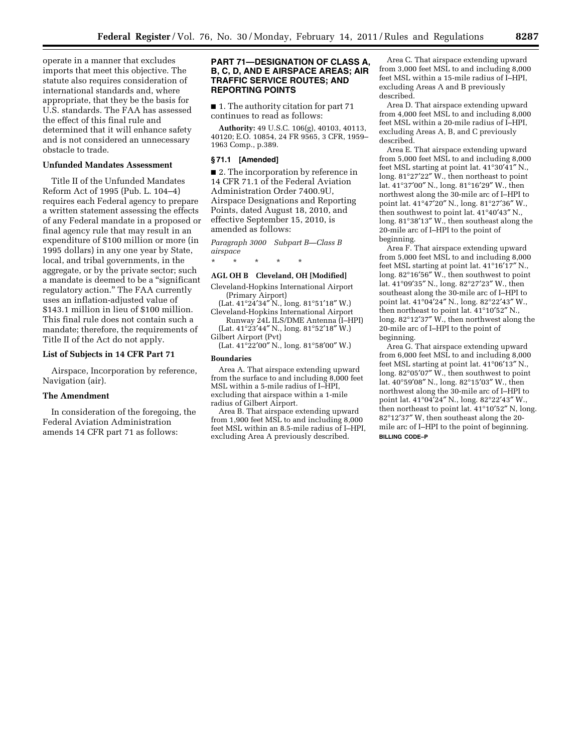operate in a manner that excludes imports that meet this objective. The statute also requires consideration of international standards and, where appropriate, that they be the basis for U.S. standards. The FAA has assessed the effect of this final rule and determined that it will enhance safety and is not considered an unnecessary obstacle to trade.

## **Unfunded Mandates Assessment**

Title II of the Unfunded Mandates Reform Act of 1995 (Pub. L. 104–4) requires each Federal agency to prepare a written statement assessing the effects of any Federal mandate in a proposed or final agency rule that may result in an expenditure of \$100 million or more (in 1995 dollars) in any one year by State, local, and tribal governments, in the aggregate, or by the private sector; such a mandate is deemed to be a ''significant regulatory action.'' The FAA currently uses an inflation-adjusted value of \$143.1 million in lieu of \$100 million. This final rule does not contain such a mandate; therefore, the requirements of Title II of the Act do not apply.

### **List of Subjects in 14 CFR Part 71**

Airspace, Incorporation by reference, Navigation (air).

### **The Amendment**

In consideration of the foregoing, the Federal Aviation Administration amends 14 CFR part 71 as follows:

### **PART 71—DESIGNATION OF CLASS A, B, C, D, AND E AIRSPACE AREAS; AIR TRAFFIC SERVICE ROUTES; AND REPORTING POINTS**

■ 1. The authority citation for part 71 continues to read as follows:

**Authority:** 49 U.S.C. 106(g), 40103, 40113, 40120; E.O. 10854, 24 FR 9565, 3 CFR, 1959– 1963 Comp., p.389.

### **§ 71.1 [Amended]**

■ 2. The incorporation by reference in 14 CFR 71.1 of the Federal Aviation Administration Order 7400.9U, Airspace Designations and Reporting Points, dated August 18, 2010, and effective September 15, 2010, is amended as follows:

*Paragraph 3000 Subpart B—Class B airspace* 

\* \* \* \* \*

### **AGL OH B Cleveland, OH [Modified]**

Cleveland-Hopkins International Airport (Primary Airport)

(Lat. 41°24′34″ N., long. 81°51′18″ W.) Cleveland-Hopkins International Airport Runway 24L ILS/DME Antenna (I–HPI)

(Lat. 41°23′44″ N., long. 81°52′18″ W.) Gilbert Airport (Pvt)

(Lat. 41°22′00″ N., long. 81°58′00″ W.)

## **Boundaries**

Area A. That airspace extending upward from the surface to and including 8,000 feet MSL within a 5-mile radius of I–HPI, excluding that airspace within a 1-mile radius of Gilbert Airport.

Area B. That airspace extending upward from 1,900 feet MSL to and including 8,000 feet MSL within an 8.5-mile radius of I–HPI, excluding Area A previously described.

Area C. That airspace extending upward from 3,000 feet MSL to and including 8,000 feet MSL within a 15-mile radius of I–HPI, excluding Areas A and B previously described.

Area D. That airspace extending upward from 4,000 feet MSL to and including 8,000 feet MSL within a 20-mile radius of I–HPI, excluding Areas A, B, and C previously described.

Area E. That airspace extending upward from 5,000 feet MSL to and including 8,000 feet MSL starting at point lat. 41°30′41″ N., long. 81°27′22″ W., then northeast to point lat. 41°37′00″ N., long. 81°16′29″ W., then northwest along the 30-mile arc of I–HPI to point lat. 41°47′20″ N., long. 81°27′36″ W., then southwest to point lat. 41°40′43″ N., long. 81°38′13″ W., then southeast along the 20-mile arc of I–HPI to the point of beginning.

Area F. That airspace extending upward from 5,000 feet MSL to and including 8,000 feet MSL starting at point lat. 41°16′17″ N., long. 82°16′56″ W., then southwest to point lat. 41°09′35″ N., long. 82°27′23″ W., then southeast along the 30-mile arc of I–HPI to point lat. 41°04′24″ N., long. 82°22′43″ W., then northeast to point lat. 41°10′52″ N., long. 82°12′37″ W., then northwest along the 20-mile arc of I–HPI to the point of beginning.

Area G. That airspace extending upward from 6,000 feet MSL to and including 8,000 feet MSL starting at point lat. 41°06′13″ N., long. 82°05′07″ W., then southwest to point lat. 40°59′08″ N., long. 82°15′03″ W., then northwest along the 30-mile arc of I–HPI to point lat. 41°04′24″ N., long. 82°22′43″ W., then northeast to point lat. 41°10′52″ N, long. 82°12′37″ W, then southeast along the 20 mile arc of I–HPI to the point of beginning. **BILLING CODE–P**